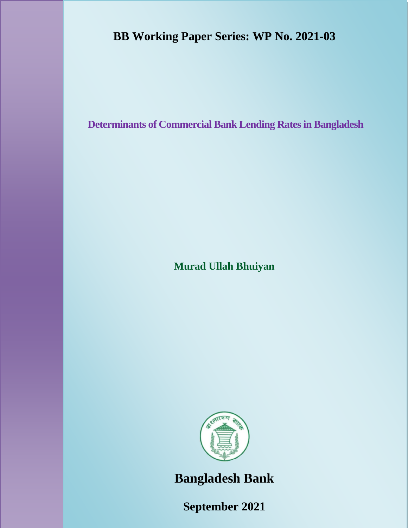# **BB Working Paper Series: WP No. 2021-03**

**Determinants of Commercial Bank Lending Rates in Bangladesh**

**Murad Ullah Bhuiyan**



**Bangladesh Bank**

**September 2021**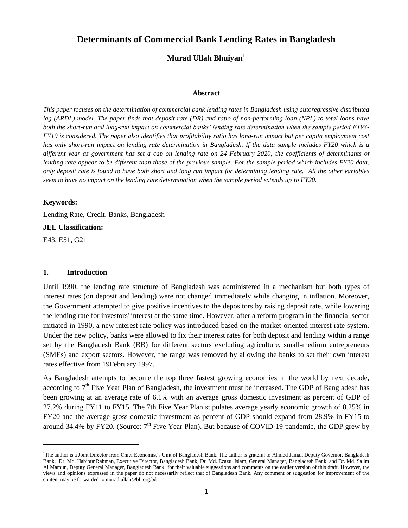# **Determinants of Commercial Bank Lending Rates in Bangladesh**

**Murad Ullah Bhuiyan<sup>1</sup>**

#### **Abstract**

*This paper focuses on the determination of commercial bank lending rates in Bangladesh using autoregressive distributed lag (ARDL) model. The paper finds that deposit rate (DR) and ratio of non-performing loan (NPL) to total loans have both the short-run and long-run impact on commercial banks' lending rate determination when the sample period FY98- FY19 is considered. The paper also identifies that profitability ratio has long-run impact but per capita employment cost has only short-run impact on lending rate determination in Bangladesh. If the data sample includes FY20 which is a different year as government has set a cap on lending rate on 24 February 2020, the coefficients of determinants of lending rate appear to be different than those of the previous sample. For the sample period which includes FY20 data, only deposit rate is found to have both short and long run impact for determining lending rate. All the other variables seem to have no impact on the lending rate determination when the sample period extends up to FY20.* 

## **Keywords:**

Lending Rate, Credit, Banks, Bangladesh

#### **JEL Classification:**

E43, E51, G21

 $\overline{a}$ 

## **1. Introduction**

Until 1990, the lending rate structure of Bangladesh was administered in a mechanism but both types of interest rates (on deposit and lending) were not changed immediately while changing in inflation. Moreover, the Government attempted to give positive incentives to the depositors by raising deposit rate, while lowering the lending rate for investors' interest at the same time. However, after a reform program in the financial sector initiated in 1990, a new interest rate policy was introduced based on the market-oriented interest rate system. Under the new policy, banks were allowed to fix their interest rates for both deposit and lending within a range set by the Bangladesh Bank (BB) for different sectors excluding agriculture, small-medium entrepreneurs (SMEs) and export sectors. However, the range was removed by allowing the banks to set their own interest rates effective from 19February 1997.

As Bangladesh attempts to become the top three fastest growing economies in the world by next decade, according to 7<sup>th</sup> Five Year Plan of Bangladesh, the investment must be increased. The GDP of Bangladesh has been growing at an average rate of 6.1% with an average gross domestic investment as percent of GDP of 27.2% during FY11 to FY15. The 7th Five Year Plan stipulates average yearly economic growth of 8.25% in FY20 and the average gross domestic investment as percent of GDP should expand from 28.9% in FY15 to around 34.4% by FY20. (Source: 7<sup>th</sup> Five Year Plan). But because of COVID-19 pandemic, the GDP grew by

<sup>&</sup>lt;sup>1</sup>The author is a Joint Director from Chief Economist's Unit of Bangladesh Bank. The author is grateful to Ahmed Jamal, Deputy Governor, Bangladesh Bank, Dr. Md. Habibur Rahman, Executive Director, Bangladesh Bank, Dr. Md. Ezazul Islam, General Manager, Bangladesh Bank and Dr. Md. Salim Al Mamun, Deputy General Manager, Bangladesh Bank for their valuable suggestions and comments on the earlier version of this draft. However, the views and opinions expressed in the paper do not necessarily reflect that of Bangladesh Bank. Any comment or suggestion for improvement of the content may be forwarded to murad.ullah@bb.org.bd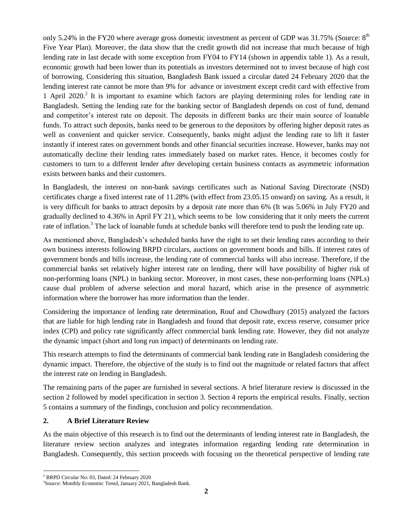only 5.24% in the FY20 where average gross domestic investment as percent of GDP was  $31.75\%$  (Source:  $8<sup>th</sup>$ Five Year Plan). Moreover, the data show that the credit growth did not increase that much because of high lending rate in last decade with some exception from FY04 to FY14 (shown in appendix table 1). As a result, economic growth had been lower than its potentials as investors determined not to invest because of high cost of borrowing. Considering this situation, Bangladesh Bank issued a circular dated 24 February 2020 that the lending interest rate cannot be more than 9% for advance or investment except credit card with effective from 1 April 2020.<sup>2</sup> It is important to examine which factors are playing determining roles for lending rate in Bangladesh. Setting the lending rate for the banking sector of Bangladesh depends on cost of fund, demand and competitor's interest rate on deposit. The deposits in different banks are their main source of loanable funds. To attract such deposits, banks need to be generous to the depositors by offering higher deposit rates as well as convenient and quicker service. Consequently, banks might adjust the lending rate to lift it faster instantly if interest rates on government bonds and other financial securities increase. However, banks may not automatically decline their lending rates immediately based on market rates. Hence, it becomes costly for customers to turn to a different lender after developing certain business contacts as asymmetric information exists between banks and their customers.

In Bangladesh, the interest on non-bank savings certificates such as National Saving Directorate (NSD) certificates charge a fixed interest rate of 11.28% (with effect from 23.05.15 onward) on saving. As a result, it is very difficult for banks to attract deposits by a deposit rate more than 6% (It was 5.06% in July FY20 and gradually declined to 4.36% in April FY 21), which seems to be low considering that it only meets the current rate of inflation.<sup>3</sup> The lack of loanable funds at schedule banks will therefore tend to push the lending rate up.

As mentioned above, Bangladesh's scheduled banks have the right to set their lending rates according to their own business interests following BRPD circulars, auctions on government bonds and bills. If interest rates of government bonds and bills increase, the lending rate of commercial banks will also increase. Therefore, if the commercial banks set relatively higher interest rate on lending, there will have possibility of higher risk of non-performing loans (NPL) in banking sector. Moreover, in most cases, these non-performing loans (NPLs) cause dual problem of adverse selection and moral hazard, which arise in the presence of asymmetric information where the borrower has more information than the lender.

Considering the importance of lending rate determination, Rouf and Chowdhury (2015) analyzed the factors that are liable for high lending rate in Bangladesh and found that deposit rate, excess reserve, consumer price index (CPI) and policy rate significantly affect commercial bank lending rate. However, they did not analyze the dynamic impact (short and long run impact) of determinants on lending rate.

This research attempts to find the determinants of commercial bank lending rate in Bangladesh considering the dynamic impact. Therefore, the objective of the study is to find out the magnitude or related factors that affect the interest rate on lending in Bangladesh.

The remaining parts of the paper are furnished in several sections. A brief literature review is discussed in the section 2 followed by model specification in section 3. Section 4 reports the empirical results. Finally, section 5 contains a summary of the findings, conclusion and policy recommendation.

# **2. A Brief Literature Review**

As the main objective of this research is to find out the determinants of lending interest rate in Bangladesh, the literature review section analyzes and integrates information regarding lending rate determination in Bangladesh. Consequently, this section proceeds with focusing on the theoretical perspective of lending rate

 $\overline{a}$ <sup>2</sup> BRPD Circular No: 03, Dated: 24 February 2020

<sup>3</sup> Source: Monthly Economic Trend, January 2021, Bangladesh Bank.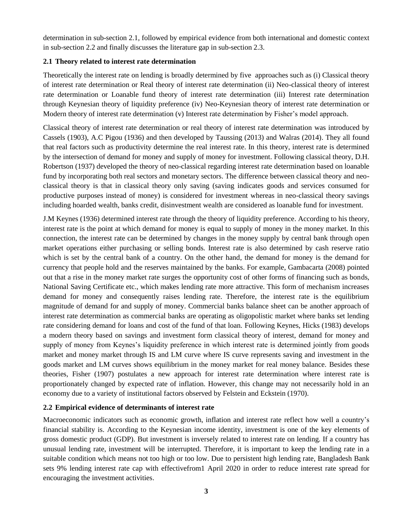determination in sub-section 2.1, followed by empirical evidence from both international and domestic context in sub-section 2.2 and finally discusses the literature gap in sub-section 2.3.

# **2.1 Theory related to interest rate determination**

Theoretically the interest rate on lending is broadly determined by five approaches such as (i) Classical theory of interest rate determination or Real theory of interest rate determination (ii) Neo-classical theory of interest rate determination or Loanable fund theory of interest rate determination (iii) Interest rate determination through Keynesian theory of liquidity preference (iv) Neo-Keynesian theory of interest rate determination or Modern theory of interest rate determination (v) Interest rate determination by Fisher's model approach.

Classical theory of interest rate determination or real theory of interest rate determination was introduced by Cassels (1903), A.C Pigou (1936) and then developed by Taussing (2013) and Walras (2014). They all found that real factors such as productivity determine the real interest rate. In this theory, interest rate is determined by the intersection of demand for money and supply of money for investment. Following classical theory, D.H. Robertson (1937) developed the theory of neo-classical regarding interest rate determination based on loanable fund by incorporating both real sectors and monetary sectors. The difference between classical theory and neoclassical theory is that in classical theory only saving (saving indicates goods and services consumed for productive purposes instead of money) is considered for investment whereas in neo-classical theory savings including hoarded wealth, banks credit, disinvestment wealth are considered as loanable fund for investment.

J.M Keynes (1936) determined interest rate through the theory of liquidity preference. According to his theory, interest rate is the point at which demand for money is equal to supply of money in the money market. In this connection, the interest rate can be determined by changes in the money supply by central bank through open market operations either purchasing or selling bonds. Interest rate is also determined by cash reserve ratio which is set by the central bank of a country. On the other hand, the demand for money is the demand for currency that people hold and the reserves maintained by the banks. For example, Gambacarta (2008) pointed out that a rise in the money market rate surges the opportunity cost of other forms of financing such as bonds, National Saving Certificate etc., which makes lending rate more attractive. This form of mechanism increases demand for money and consequently raises lending rate. Therefore, the interest rate is the equilibrium magnitude of demand for and supply of money. Commercial banks balance sheet can be another approach of interest rate determination as commercial banks are operating as oligopolistic market where banks set lending rate considering demand for loans and cost of the fund of that loan. Following Keynes, Hicks (1983) develops a modern theory based on savings and investment form classical theory of interest, demand for money and supply of money from Keynes's liquidity preference in which interest rate is determined jointly from goods market and money market through IS and LM curve where IS curve represents saving and investment in the goods market and LM curves shows equilibrium in the money market for real money balance. Besides these theories, Fisher (1907) postulates a new approach for interest rate determination where interest rate is proportionately changed by expected rate of inflation. However, this change may not necessarily hold in an economy due to a variety of institutional factors observed by Felstein and Eckstein (1970).

# **2.2 Empirical evidence of determinants of interest rate**

Macroeconomic indicators such as economic growth, inflation and interest rate reflect how well a country's financial stability is. According to the Keynesian income identity, investment is one of the key elements of gross domestic product (GDP). But investment is inversely related to interest rate on lending. If a country has unusual lending rate, investment will be interrupted. Therefore, it is important to keep the lending rate in a suitable condition which means not too high or too low. Due to persistent high lending rate, Bangladesh Bank sets 9% lending interest rate cap with effectivefrom1 April 2020 in order to reduce interest rate spread for encouraging the investment activities.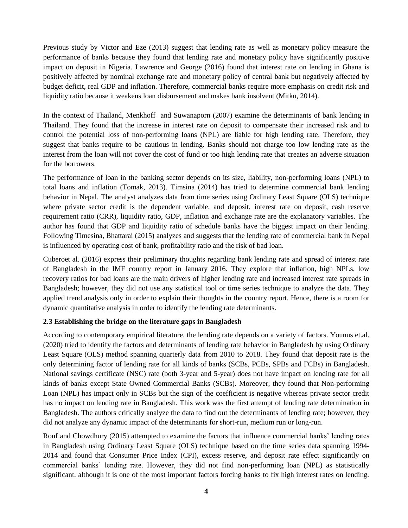Previous study by Victor and Eze (2013) suggest that lending rate as well as monetary policy measure the performance of banks because they found that lending rate and monetary policy have significantly positive impact on deposit in Nigeria. Lawrence and George (2016) found that interest rate on lending in Ghana is positively affected by nominal exchange rate and monetary policy of central bank but negatively affected by budget deficit, real GDP and inflation. Therefore, commercial banks require more emphasis on credit risk and liquidity ratio because it weakens loan disbursement and makes bank insolvent (Mitku, 2014).

In the context of Thailand, Menkhoff and Suwanaporn (2007) examine the determinants of bank lending in Thailand. They found that the increase in interest rate on deposit to compensate their increased risk and to control the potential loss of non-performing loans (NPL) are liable for high lending rate. Therefore, they suggest that banks require to be cautious in lending. Banks should not charge too low lending rate as the interest from the loan will not cover the cost of fund or too high lending rate that creates an adverse situation for the borrowers.

The performance of loan in the banking sector depends on its size, liability, non-performing loans (NPL) to total loans and inflation (Tomak, 2013). Timsina (2014) has tried to determine commercial bank lending behavior in Nepal. The analyst analyzes data from time series using Ordinary Least Square (OLS) technique where private sector credit is the dependent variable, and deposit, interest rate on deposit, cash reserve requirement ratio (CRR), liquidity ratio, GDP, inflation and exchange rate are the explanatory variables. The author has found that GDP and liquidity ratio of schedule banks have the biggest impact on their lending. Following Timesina, Bhattarai (2015) analyzes and suggests that the lending rate of commercial bank in Nepal is influenced by operating cost of bank, profitability ratio and the risk of bad loan.

Cuberoet al. (2016) express their preliminary thoughts regarding bank lending rate and spread of interest rate of Bangladesh in the IMF country report in January 2016. They explore that inflation, high NPLs, low recovery ratios for bad loans are the main drivers of higher lending rate and increased interest rate spreads in Bangladesh; however, they did not use any statistical tool or time series technique to analyze the data. They applied trend analysis only in order to explain their thoughts in the country report. Hence, there is a room for dynamic quantitative analysis in order to identify the lending rate determinants.

# **2.3 Establishing the bridge on the literature gaps in Bangladesh**

According to contemporary empirical literature, the lending rate depends on a variety of factors. Younus et.al. (2020) tried to identify the factors and determinants of lending rate behavior in Bangladesh by using Ordinary Least Square (OLS) method spanning quarterly data from 2010 to 2018. They found that deposit rate is the only determining factor of lending rate for all kinds of banks (SCBs, PCBs, SPBs and FCBs) in Bangladesh. National savings certificate (NSC) rate (both 3-year and 5-year) does not have impact on lending rate for all kinds of banks except State Owned Commercial Banks (SCBs). Moreover, they found that Non-performing Loan (NPL) has impact only in SCBs but the sign of the coefficient is negative whereas private sector credit has no impact on lending rate in Bangladesh. This work was the first attempt of lending rate determination in Bangladesh. The authors critically analyze the data to find out the determinants of lending rate; however, they did not analyze any dynamic impact of the determinants for short-run, medium run or long-run.

Rouf and Chowdhury (2015) attempted to examine the factors that influence commercial banks' lending rates in Bangladesh using Ordinary Least Square (OLS) technique based on the time series data spanning 1994- 2014 and found that Consumer Price Index (CPI), excess reserve, and deposit rate effect significantly on commercial banks' lending rate. However, they did not find non-performing loan (NPL) as statistically significant, although it is one of the most important factors forcing banks to fix high interest rates on lending.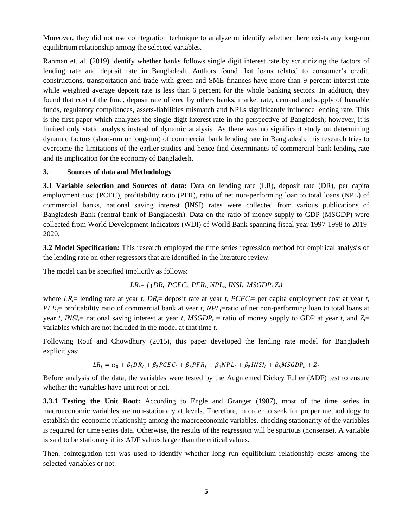Moreover, they did not use cointegration technique to analyze or identify whether there exists any long-run equilibrium relationship among the selected variables.

Rahman et. al. (2019) identify whether banks follows single digit interest rate by scrutinizing the factors of lending rate and deposit rate in Bangladesh. Authors found that loans related to consumer's credit, constructions, transportation and trade with green and SME finances have more than 9 percent interest rate while weighted average deposit rate is less than 6 percent for the whole banking sectors. In addition, they found that cost of the fund, deposit rate offered by others banks, market rate, demand and supply of loanable funds, regulatory compliances, assets-liabilities mismatch and NPLs significantly influence lending rate. This is the first paper which analyzes the single digit interest rate in the perspective of Bangladesh; however, it is limited only static analysis instead of dynamic analysis. As there was no significant study on determining dynamic factors (short-run or long-run) of commercial bank lending rate in Bangladesh, this research tries to overcome the limitations of the earlier studies and hence find determinants of commercial bank lending rate and its implication for the economy of Bangladesh.

# **3. Sources of data and Methodology**

**3.1 Variable selection and Sources of data:** Data on lending rate (LR), deposit rate (DR), per capita employment cost (PCEC), profitability ratio (PFR), ratio of net non-performing loan to total loans (NPL) of commercial banks, national saving interest (INSI) rates were collected from various publications of Bangladesh Bank (central bank of Bangladesh). Data on the ratio of money supply to GDP (MSGDP) were collected from World Development Indicators (WDI) of World Bank spanning fiscal year 1997-1998 to 2019- 2020.

**3.2 Model Specification:** This research employed the time series regression method for empirical analysis of the lending rate on other regressors that are identified in the literature review.

The model can be specified implicitly as follows:

$$
LR_i = f(DR_i, PCEC_i, PFR_i, NPL_i, INSI_i, MSGDP_i, Z_i)
$$

where  $LR$ <sup> $\tau$ </sup>= lending rate at year *t*,  $DR$  = deposit rate at year *t*,  $PCEC$  = per capita employment cost at year *t*, *PFR*<sup> $t$ </sup>= profitability ratio of commercial bank at year *t*, *NPL*<sub> $t$ </sub>=ratio of net non-performing loan to total loans at year *t*, *INSI*<sub> $t$ </sub>= national saving interest at year *t*, *MSGDP*<sub>*t*</sub></sub> = ratio of money supply to GDP at year *t*, and  $Z_t$ = variables which are not included in the model at that time *t*.

Following Rouf and Chowdhury (2015), this paper developed the lending rate model for Bangladesh explicitlyas:

$$
LR_t = \alpha_0 + \beta_1 DR_t + \beta_2 PCEC_t + \beta_3 PFR_t + \beta_4 NPL_t + \beta_5 INSI_t + \beta_6 MSGDP_t + Z_t
$$

Before analysis of the data, the variables were tested by the Augmented Dickey Fuller (ADF) test to ensure whether the variables have unit root or not.

**3.3.1 Testing the Unit Root:** According to Engle and Granger (1987), most of the time series in macroeconomic variables are non-stationary at levels. Therefore, in order to seek for proper methodology to establish the economic relationship among the macroeconomic variables, checking stationarity of the variables is required for time series data. Otherwise, the results of the regression will be spurious (nonsense). A variable is said to be stationary if its ADF values larger than the critical values.

Then, cointegration test was used to identify whether long run equilibrium relationship exists among the selected variables or not.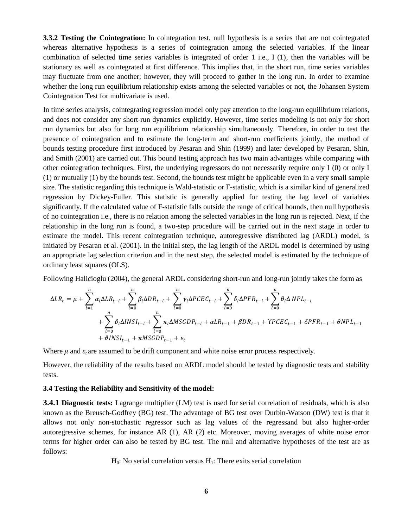**3.3.2 Testing the Cointegration:** In cointegration test, null hypothesis is a series that are not cointegrated whereas alternative hypothesis is a series of cointegration among the selected variables. If the linear combination of selected time series variables is integrated of order 1 i.e., I (1), then the variables will be stationary as well as cointegrated at first difference. This implies that, in the short run, time series variables may fluctuate from one another; however, they will proceed to gather in the long run. In order to examine whether the long run equilibrium relationship exists among the selected variables or not, the Johansen System Cointegration Test for multivariate is used.

In time series analysis, cointegrating regression model only pay attention to the long-run equilibrium relations, and does not consider any short-run dynamics explicitly. However, time series modeling is not only for short run dynamics but also for long run equilibrium relationship simultaneously. Therefore, in order to test the presence of cointegration and to estimate the long-term and short-run coefficients jointly, the method of bounds testing procedure first introduced by Pesaran and Shin (1999) and later developed by Pesaran, Shin, and Smith (2001) are carried out. This bound testing approach has two main advantages while comparing with other cointegration techniques. First, the underlying regressors do not necessarily require only I (0) or only I (1) or mutually (1) by the bounds test. Second, the bounds test might be applicable even in a very small sample size. The statistic regarding this technique is Wald-statistic or F-statistic, which is a similar kind of generalized regression by Dickey-Fuller. This statistic is generally applied for testing the lag level of variables significantly. If the calculated value of F-statistic falls outside the range of critical bounds, then null hypothesis of no cointegration i.e., there is no relation among the selected variables in the long run is rejected. Next, if the relationship in the long run is found, a two-step procedure will be carried out in the next stage in order to estimate the model. This recent cointegration technique, autoregressive distributed lag (ARDL) model, is initiated by Pesaran et al. (2001). In the initial step, the lag length of the ARDL model is determined by using an appropriate lag selection criterion and in the next step, the selected model is estimated by the technique of ordinary least squares (OLS).

Following Halicioglu (2004), the general ARDL considering short-run and long-run jointly takes the form as

$$
\Delta LR_{t} = \mu + \sum_{i=1}^{n} \alpha_{i} \Delta LR_{t-i} + \sum_{i=0}^{n} \beta_{i} \Delta DR_{t-i} + \sum_{i=0}^{n} \gamma_{i} \Delta PCE C_{t-i} + \sum_{i=0}^{n} \delta_{i} \Delta PFR_{t-i} + \sum_{i=0}^{n} \theta_{i} \Delta NPL_{t-i} + \sum_{i=0}^{n} \theta_{i} \Delta NPL_{t-i} + \sum_{i=0}^{n} \theta_{i} \Delta NNS I_{t-i} + \sum_{i=0}^{n} \pi_{i} \Delta MSGDP_{t-i} + \alpha LR_{t-1} + \beta DR_{t-1} + \gamma PCE C_{t-1} + \delta PFR_{t-1} + \theta NPL_{t-1} + \theta NPL_{t-1} + \theta NPL_{t-1} + \epsilon_{t}
$$

Where  $\mu$  and  $\varepsilon_t$  are assumed to be drift component and white noise error process respectively.

However, the reliability of the results based on ARDL model should be tested by diagnostic tests and stability tests.

## **3.4 Testing the Reliability and Sensitivity of the model:**

**3.4.1 Diagnostic tests:** Lagrange multiplier (LM) test is used for serial correlation of residuals, which is also known as the Breusch-Godfrey (BG) test. The advantage of BG test over Durbin-Watson (DW) test is that it allows not only non-stochastic regressor such as lag values of the regressand but also higher-order autoregressive schemes, for instance AR (1), AR (2) etc. Moreover, moving averages of white noise error terms for higher order can also be tested by BG test. The null and alternative hypotheses of the test are as follows:

 $H_0$ : No serial correlation versus  $H_1$ : There exits serial correlation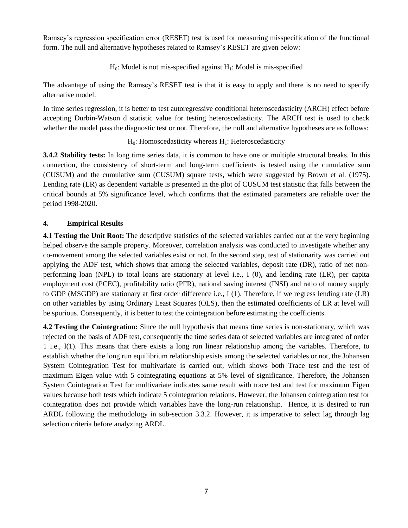Ramsey's regression specification error (RESET) test is used for measuring misspecification of the functional form. The null and alternative hypotheses related to Ramsey's RESET are given below:

 $H_0$ : Model is not mis-specified against  $H_1$ : Model is mis-specified

The advantage of using the Ramsey's RESET test is that it is easy to apply and there is no need to specify alternative model.

In time series regression, it is better to test autoregressive conditional heteroscedasticity (ARCH) effect before accepting Durbin-Watson d statistic value for testing heteroscedasticity. The ARCH test is used to check whether the model pass the diagnostic test or not. Therefore, the null and alternative hypotheses are as follows:

# $H_0$ : Homoscedasticity whereas  $H_1$ : Heteroscedasticity

**3.4.2 Stability tests:** In long time series data, it is common to have one or multiple structural breaks. In this connection, the consistency of short-term and long-term coefficients is tested using the cumulative sum (CUSUM) and the cumulative sum (CUSUM) square tests, which were suggested by Brown et al. (1975). Lending rate (LR) as dependent variable is presented in the plot of CUSUM test statistic that falls between the critical bounds at 5% significance level, which confirms that the estimated parameters are reliable over the period 1998-2020.

# **4. Empirical Results**

**4.1 Testing the Unit Root:** The descriptive statistics of the selected variables carried out at the very beginning helped observe the sample property. Moreover, correlation analysis was conducted to investigate whether any co-movement among the selected variables exist or not. In the second step, test of stationarity was carried out applying the ADF test, which shows that among the selected variables, deposit rate (DR), ratio of net nonperforming loan (NPL) to total loans are stationary at level i.e., I (0), and lending rate (LR), per capita employment cost (PCEC), profitability ratio (PFR), national saving interest (INSI) and ratio of money supply to GDP (MSGDP) are stationary at first order difference i.e., I (1). Therefore, if we regress lending rate (LR) on other variables by using Ordinary Least Squares (OLS), then the estimated coefficients of LR at level will be spurious. Consequently, it is better to test the cointegration before estimating the coefficients.

**4.2 Testing the Cointegration:** Since the null hypothesis that means time series is non-stationary, which was rejected on the basis of ADF test, consequently the time series data of selected variables are integrated of order 1 i.e., I(1). This means that there exists a long run linear relationship among the variables. Therefore, to establish whether the long run equilibrium relationship exists among the selected variables or not, the Johansen System Cointegration Test for multivariate is carried out, which shows both Trace test and the test of maximum Eigen value with 5 cointegrating equations at 5% level of significance. Therefore, the Johansen System Cointegration Test for multivariate indicates same result with trace test and test for maximum Eigen values because both tests which indicate 5 cointegration relations. However, the Johansen cointegration test for cointegration does not provide which variables have the long-run relationship. Hence, it is desired to run ARDL following the methodology in sub-section 3.3.2. However, it is imperative to select lag through lag selection criteria before analyzing ARDL.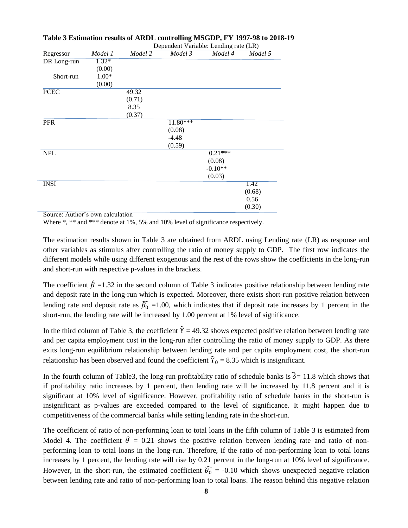|                    |         |         | Dependent variable: Lending rate (LR) |           |         |
|--------------------|---------|---------|---------------------------------------|-----------|---------|
| Regressor          | Model 1 | Model 2 | Model 3                               | Model 4   | Model 5 |
| <b>DR</b> Long-run | $1.32*$ |         |                                       |           |         |
|                    | (0.00)  |         |                                       |           |         |
| Short-run          | $1.00*$ |         |                                       |           |         |
|                    | (0.00)  |         |                                       |           |         |
| <b>PCEC</b>        |         | 49.32   |                                       |           |         |
|                    |         | (0.71)  |                                       |           |         |
|                    |         | 8.35    |                                       |           |         |
|                    |         | (0.37)  |                                       |           |         |
| <b>PFR</b>         |         |         | 11.80***                              |           |         |
|                    |         |         | (0.08)                                |           |         |
|                    |         |         | $-4.48$                               |           |         |
|                    |         |         | (0.59)                                |           |         |
| <b>NPL</b>         |         |         |                                       | $0.21***$ |         |
|                    |         |         |                                       | (0.08)    |         |
|                    |         |         |                                       | $-0.10**$ |         |
|                    |         |         |                                       | (0.03)    |         |
| <b>INSI</b>        |         |         |                                       |           | 1.42    |
|                    |         |         |                                       |           | (0.68)  |
|                    |         |         |                                       |           | 0.56    |
|                    |         |         |                                       |           | (0.30)  |
|                    |         |         |                                       |           |         |

## **Table 3 Estimation results of ARDL controlling MSGDP, FY 1997-98 to 2018-19**  Dependent Variable: Lending rate (LR)

Source: Author's own calculation

Where \*, \*\* and \*\*\* denote at 1%, 5% and 10% level of significance respectively.

The estimation results shown in Table 3 are obtained from ARDL using Lending rate (LR) as response and other variables as stimulus after controlling the ratio of money supply to GDP. The first row indicates the different models while using different exogenous and the rest of the rows show the coefficients in the long-run and short-run with respective p-values in the brackets.

The coefficient  $\hat{\beta}$  =1.32 in the second column of Table 3 indicates positive relationship between lending rate and deposit rate in the long-run which is expected. Moreover, there exists short-run positive relation between lending rate and deposit rate as  $\widehat{\beta_0}$  =1.00, which indicates that if deposit rate increases by 1 percent in the short-run, the lending rate will be increased by 1.00 percent at 1% level of significance.

In the third column of Table 3, the coefficient  $\hat{\gamma} = 49.32$  shows expected positive relation between lending rate and per capita employment cost in the long-run after controlling the ratio of money supply to GDP. As there exits long-run equilibrium relationship between lending rate and per capita employment cost, the short-run relationship has been observed and found the coefficient  $\hat{\Upsilon}_0 = 8.35$  which is insignificant.

In the fourth column of Table3, the long-run profitability ratio of schedule banks is  $\hat{\delta}$  = 11.8 which shows that if profitability ratio increases by 1 percent, then lending rate will be increased by 11.8 percent and it is significant at 10% level of significance. However, profitability ratio of schedule banks in the short-run is insignificant as p-values are exceeded compared to the level of significance. It might happen due to competitiveness of the commercial banks while setting lending rate in the short-run.

The coefficient of ratio of non-performing loan to total loans in the fifth column of Table 3 is estimated from Model 4. The coefficient  $\hat{\theta} = 0.21$  shows the positive relation between lending rate and ratio of nonperforming loan to total loans in the long-run. Therefore, if the ratio of non-performing loan to total loans increases by 1 percent, the lending rate will rise by 0.21 percent in the long-run at 10% level of significance. However, in the short-run, the estimated coefficient  $\widehat{\theta_0}$  = -0.10 which shows unexpected negative relation between lending rate and ratio of non-performing loan to total loans. The reason behind this negative relation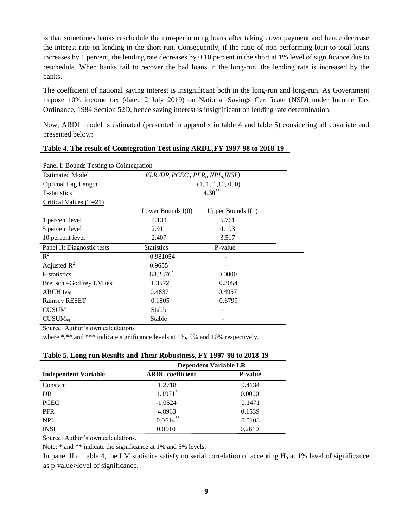is that sometimes banks reschedule the non-performing loans after taking down payment and hence decrease the interest rate on lending in the short-run. Consequently, if the ratio of non-performing loan to total loans increases by 1 percent, the lending rate decreases by 0.10 percent in the short at 1% level of significance due to reschedule. When banks fail to recover the bad loans in the long-run, the lending rate is increased by the banks.

The coefficient of national saving interest is insignificant both in the long-run and long-run. As Government impose 10% income tax (dated 2 July 2019) on National Savings Certificate (NSD) under Income Tax Ordinance, 1984 Section 52D, hence saving interest is insignificant on lending rate determination.

Now, ARDL model is estimated (presented in appendix in table 4 and table 5) considering all covariate and presented below:

| Panel I: Bounds Testing to Cointegration |                                       |                     |  |  |
|------------------------------------------|---------------------------------------|---------------------|--|--|
| <b>Estimated Model</b>                   | $f(LR/DR_t PCEC_b PFR_b NPL_tINSI_t)$ |                     |  |  |
| <b>Optimal Lag Length</b>                |                                       | (1, 1, 1, 10, 0, 0) |  |  |
| <b>F</b> -statistics                     |                                       | $4.30**$            |  |  |
| Critical Values $(T=21)$                 |                                       |                     |  |  |
|                                          | Lower Bounds $I(0)$                   | Upper Bounds $I(1)$ |  |  |
| 1 percent level                          | 4.134                                 | 5.761               |  |  |
| 5 percent level                          | 2.91                                  | 4.193               |  |  |
| 10 percent level                         | 2.407                                 | 3.517               |  |  |
| Panel II: Diagnostic tests               | <b>Statistics</b>                     | P-value             |  |  |
| $R^2$                                    | 0.981054                              |                     |  |  |
| Adjusted $R^2$                           | 0.9655                                |                     |  |  |
| <b>F-statistics</b>                      | 63.2876*                              | 0.0000              |  |  |
| Breusch – Godfrey LM test                | 1.3572                                | 0.3054              |  |  |
| <b>ARCH</b> test                         | 0.4837                                | 0.4957              |  |  |
| <b>Ramsey RESET</b>                      | 0.1805                                | 0.6799              |  |  |
| <b>CUSUM</b>                             | Stable                                |                     |  |  |
| $CUSUM_{sa}$                             | Stable                                |                     |  |  |

## **Table 4. The result of Cointegration Test using ARDL,FY 1997-98 to 2018-19**

Source: Author's own calculations

where \*,\*\* and \*\*\* indicate significance levels at 1%, 5% and 10% respectively.

|                             | <b>Dependent Variable LR</b> |                |
|-----------------------------|------------------------------|----------------|
| <b>Independent Variable</b> | <b>ARDL</b> coefficient      | <b>P-value</b> |
| Constant                    | 1.2718                       | 0.4134         |
| DR                          | $1.1971$ <sup>*</sup>        | 0.0000         |
| <b>PCEC</b>                 | $-1.0524$                    | 0.1471         |
| <b>PFR</b>                  | 4.8963                       | 0.1539         |
| <b>NPL</b>                  | $0.0614***$                  | 0.0108         |
| <b>INSI</b>                 | 0.0910                       | 0.2610         |

**Table 5. Long run Results and Their Robustness, FY 1997-98 to 2018-19**

Source: Author's own calculations.

Note: \* and \*\* indicate the significance at 1% and 5% levels.

In panel II of table 4, the LM statistics satisfy no serial correlation of accepting  $H_0$  at 1% level of significance as p-value**>**level of significance.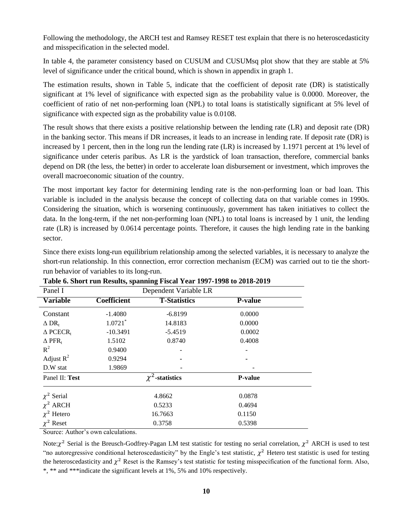Following the methodology, the ARCH test and Ramsey RESET test explain that there is no heteroscedasticity and misspecification in the selected model.

In table 4, the parameter consistency based on CUSUM and CUSUMsq plot show that they are stable at 5% level of significance under the critical bound, which is shown in appendix in graph 1.

The estimation results, shown in Table 5, indicate that the coefficient of deposit rate (DR) is statistically significant at 1% level of significance with expected sign as the probability value is 0.0000. Moreover, the coefficient of ratio of net non-performing loan (NPL) to total loans is statistically significant at 5% level of significance with expected sign as the probability value is 0.0108.

The result shows that there exists a positive relationship between the lending rate (LR) and deposit rate (DR) in the banking sector. This means if DR increases, it leads to an increase in lending rate. If deposit rate (DR) is increased by 1 percent, then in the long run the lending rate (LR) is increased by 1.1971 percent at 1% level of significance under ceteris paribus. As LR is the yardstick of loan transaction, therefore, commercial banks depend on DR (the less, the better) in order to accelerate loan disbursement or investment, which improves the overall macroeconomic situation of the country.

The most important key factor for determining lending rate is the non-performing loan or bad loan. This variable is included in the analysis because the concept of collecting data on that variable comes in 1990s. Considering the situation, which is worsening continuously, government has taken initiatives to collect the data. In the long-term, if the net non-performing loan (NPL) to total loans is increased by 1 unit, the lending rate (LR) is increased by 0.0614 percentage points. Therefore, it causes the high lending rate in the banking sector.

Since there exists long-run equilibrium relationship among the selected variables, it is necessary to analyze the short-run relationship. In this connection, error correction mechanism (ECM) was carried out to tie the shortrun behavior of variables to its long-run.

| Panel I                        |                       | Dependent Variable LR |                |  |
|--------------------------------|-----------------------|-----------------------|----------------|--|
| <b>Variable</b>                | <b>Coefficient</b>    | <b>T-Statistics</b>   | <b>P-value</b> |  |
| Constant                       | $-1.4080$             | $-6.8199$             | 0.0000         |  |
| $\Delta$ DR <sub>t</sub>       | $1.0721$ <sup>*</sup> | 14.8183               | 0.0000         |  |
| $\triangle$ PCECR <sub>t</sub> | $-10.3491$            | $-5.4519$             | 0.0002         |  |
| $\Delta$ PFR <sub>t</sub>      | 1.5102                | 0.8740                | 0.4008         |  |
| $R^2$                          | 0.9400                |                       |                |  |
| Adjust $R^2$                   | 0.9294                |                       |                |  |
| D.W stat                       | 1.9869                |                       |                |  |
| Panel II: Test                 | $\chi^2$ -statistics  |                       | <b>P-value</b> |  |
| $\chi^2$ Serial                |                       | 4.8662                |                |  |
| $\chi^2$ ARCH                  | 0.5233                |                       | 0.4694         |  |
| $\chi^2$ Hetero                |                       | 16.7663               | 0.1150         |  |
| $\chi^2$ Reset                 | 0.3758                |                       | 0.5398         |  |

| Table 6. Short run Results, spanning Fiscal Year 1997-1998 to 2018-2019 |  |  |  |
|-------------------------------------------------------------------------|--|--|--|
|                                                                         |  |  |  |

Source: Author's own calculations.

Note:  $\chi^2$  Serial is the Breusch-Godfrey-Pagan LM test statistic for testing no serial correlation,  $\chi^2$  ARCH is used to test "no autoregressive conditional heteroscedasticity" by the Engle's test statistic,  $\chi^2$  Hetero test statistic is used for testing the heteroscedasticity and  $\chi^2$  Reset is the Ramsey's test statistic for testing misspecification of the functional form. Also, \*, \*\* and \*\*\*indicate the significant levels at 1%, 5% and 10% respectively.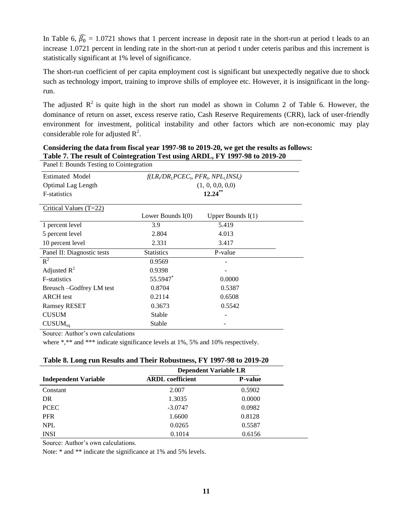In Table 6,  $\widehat{\beta_0} = 1.0721$  shows that 1 percent increase in deposit rate in the short-run at period t leads to an increase 1.0721 percent in lending rate in the short-run at period t under ceteris paribus and this increment is statistically significant at 1% level of significance.

The short-run coefficient of per capita employment cost is significant but unexpectedly negative due to shock such as technology import, training to improve shills of employee etc. However, it is insignificant in the longrun.

The adjusted  $\mathbb{R}^2$  is quite high in the short run model as shown in Column 2 of Table 6. However, the dominance of return on asset, excess reserve ratio, Cash Reserve Requirements (CRR), lack of user-friendly environment for investment, political instability and other factors which are non-economic may play considerable role for adjusted  $\mathbb{R}^2$ .

| Twist $\alpha$ introduced connectional two abing the $\Delta$ $\beta$ is $\beta$ to $\beta$ abis $\beta$<br>Panel I: Bounds Testing to Cointegration |                                         |                     |  |
|------------------------------------------------------------------------------------------------------------------------------------------------------|-----------------------------------------|---------------------|--|
| <b>Estimated Model</b>                                                                                                                               | $f(LR/DR_t PCEC_p, PFR_p, NPL_tINSI_t)$ |                     |  |
| Optimal Lag Length                                                                                                                                   |                                         | (1, 0, 0, 0, 0, 0)  |  |
| F-statistics                                                                                                                                         |                                         | $12.24***$          |  |
| Critical Values $(T=22)$                                                                                                                             |                                         |                     |  |
|                                                                                                                                                      | Lower Bounds $I(0)$                     | Upper Bounds $I(1)$ |  |
| 1 percent level                                                                                                                                      | 3.9                                     | 5.419               |  |
| 5 percent level                                                                                                                                      | 2.804                                   | 4.013               |  |
| 10 percent level                                                                                                                                     | 2.331                                   | 3.417               |  |
| Panel II: Diagnostic tests                                                                                                                           | <b>Statistics</b>                       | P-value             |  |
| $R^2$                                                                                                                                                | 0.9569                                  |                     |  |
| Adjusted $R^2$                                                                                                                                       | 0.9398                                  |                     |  |
| F-statistics                                                                                                                                         | 55.5947*                                | 0.0000              |  |
| Breusch –Godfrey LM test                                                                                                                             | 0.8704                                  | 0.5387              |  |
| <b>ARCH</b> test                                                                                                                                     | 0.2114                                  | 0.6508              |  |
| <b>Ramsey RESET</b>                                                                                                                                  | 0.3673                                  | 0.5542              |  |
| <b>CUSUM</b>                                                                                                                                         | Stable                                  |                     |  |
| $CUSUM_{sa}$                                                                                                                                         | Stable                                  |                     |  |

**Considering the data from fiscal year 1997-98 to 2019-20, we get the results as follows: Table 7. The result of Cointegration Test using ARDL, FY 1997-98 to 2019-20**

Source: Author's own calculations

where \*,\*\* and \*\*\* indicate significance levels at 1%, 5% and 10% respectively.

| Table 8. Long run Results and Their Robustness, FY 1997-98 to 2019-20 |  |  |
|-----------------------------------------------------------------------|--|--|
|                                                                       |  |  |

|                             | <b>Dependent Variable LR</b> |                |  |
|-----------------------------|------------------------------|----------------|--|
| <b>Independent Variable</b> | <b>ARDL</b> coefficient      | <b>P-value</b> |  |
| Constant                    | 2.007                        | 0.5902         |  |
| DR                          | 1.3035                       | 0.0000         |  |
| <b>PCEC</b>                 | $-3.0747$                    | 0.0982         |  |
| <b>PFR</b>                  | 1.6600                       | 0.8128         |  |
| <b>NPL</b>                  | 0.0265                       | 0.5587         |  |
| <b>INSI</b>                 | 0.1014                       | 0.6156         |  |

Source: Author's own calculations.

Note:  $*$  and  $**$  indicate the significance at 1% and 5% levels.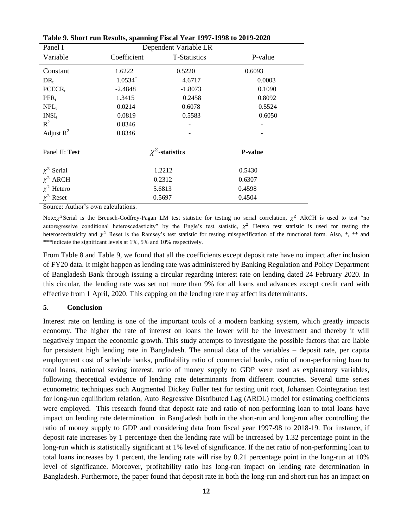| Panel I           |             | Dependent Variable LR |                |
|-------------------|-------------|-----------------------|----------------|
| Variable          | Coefficient | <b>T-Statistics</b>   | P-value        |
| Constant          | 1.6222      | 0.5220                | 0.6093         |
| $DR_{t}$          | $1.0534*$   | 4.6717                | 0.0003         |
| $PCECR_t$         | $-2.4848$   | $-1.8073$             | 0.1090         |
| $PFR_t$           | 1.3415      | 0.2458                | 0.8092         |
| $NPL_1$           | 0.0214      | 0.6078                | 0.5524         |
| INSI <sub>t</sub> | 0.0819      | 0.5583                | 0.6050         |
| $R^2$             | 0.8346      |                       |                |
| Adjust $R^2$      | 0.8346      |                       |                |
| Panel II: Test    |             | $\chi^2$ -statistics  | <b>P-value</b> |
| $\chi^2$ Serial   |             | 1.2212                | 0.5430         |
| $\chi^2$ ARCH     |             | 0.2312                | 0.6307         |
| $\chi^2$ Hetero   |             | 5.6813                | 0.4598         |
| $\chi^2$ Reset    |             | 0.5697                | 0.4504         |

**Table 9. Short run Results, spanning Fiscal Year 1997-1998 to 2019-2020**

Source: Author's own calculations.

Note:  $\chi^2$  Serial is the Breusch-Godfrey-Pagan LM test statistic for testing no serial correlation,  $\chi^2$  ARCH is used to test "no autoregressive conditional heteroscedasticity" by the Engle's test statistic,  $\chi^2$  Hetero test statistic is used for testing the heteroscedasticity and  $\chi^2$  Reset is the Ramsey's test statistic for testing misspecification of the functional form. Also, \*, \*\* and \*\*\*indicate the significant levels at 1%, 5% and 10% respectively.

From Table 8 and Table 9, we found that all the coefficients except deposit rate have no impact after inclusion of FY20 data. It might happen as lending rate was administered by Banking Regulation and Policy Department of Bangladesh Bank through issuing a circular regarding interest rate on lending dated 24 February 2020. In this circular, the lending rate was set not more than 9% for all loans and advances except credit card with effective from 1 April, 2020. This capping on the lending rate may affect its determinants.

# **5. Conclusion**

Interest rate on lending is one of the important tools of a modern banking system, which greatly impacts economy. The higher the rate of interest on loans the lower will be the investment and thereby it will negatively impact the economic growth. This study attempts to investigate the possible factors that are liable for persistent high lending rate in Bangladesh. The annual data of the variables – deposit rate, per capita employment cost of schedule banks, profitability ratio of commercial banks, ratio of non-performing loan to total loans, national saving interest, ratio of money supply to GDP were used as explanatory variables, following theoretical evidence of lending rate determinants from different countries. Several time series econometric techniques such Augmented Dickey Fuller test for testing unit root, Johansen Cointegration test for long-run equilibrium relation, Auto Regressive Distributed Lag (ARDL) model for estimating coefficients were employed. This research found that deposit rate and ratio of non-performing loan to total loans have impact on lending rate determination in Bangladesh both in the short-run and long-run after controlling the ratio of money supply to GDP and considering data from fiscal year 1997-98 to 2018-19. For instance, if deposit rate increases by 1 percentage then the lending rate will be increased by 1.32 percentage point in the long-run which is statistically significant at 1% level of significance. If the net ratio of non-performing loan to total loans increases by 1 percent, the lending rate will rise by 0.21 percentage point in the long-run at 10% level of significance. Moreover, profitability ratio has long-run impact on lending rate determination in Bangladesh. Furthermore, the paper found that deposit rate in both the long-run and short-run has an impact on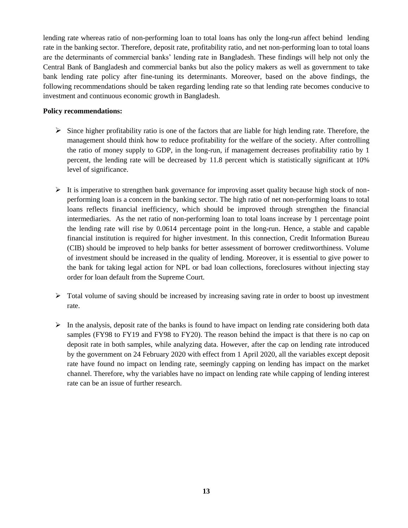lending rate whereas ratio of non-performing loan to total loans has only the long-run affect behind lending rate in the banking sector. Therefore, deposit rate, profitability ratio, and net non-performing loan to total loans are the determinants of commercial banks' lending rate in Bangladesh. These findings will help not only the Central Bank of Bangladesh and commercial banks but also the policy makers as well as government to take bank lending rate policy after fine-tuning its determinants. Moreover, based on the above findings, the following recommendations should be taken regarding lending rate so that lending rate becomes conducive to investment and continuous economic growth in Bangladesh.

## **Policy recommendations:**

- $\triangleright$  Since higher profitability ratio is one of the factors that are liable for high lending rate. Therefore, the management should think how to reduce profitability for the welfare of the society. After controlling the ratio of money supply to GDP, in the long-run, if management decreases profitability ratio by 1 percent, the lending rate will be decreased by 11.8 percent which is statistically significant at 10% level of significance.
- $\triangleright$  It is imperative to strengthen bank governance for improving asset quality because high stock of nonperforming loan is a concern in the banking sector. The high ratio of net non-performing loans to total loans reflects financial inefficiency, which should be improved through strengthen the financial intermediaries. As the net ratio of non-performing loan to total loans increase by 1 percentage point the lending rate will rise by 0.0614 percentage point in the long-run. Hence, a stable and capable financial institution is required for higher investment. In this connection, Credit Information Bureau (CIB) should be improved to help banks for better assessment of borrower creditworthiness. Volume of investment should be increased in the quality of lending. Moreover, it is essential to give power to the bank for taking legal action for NPL or bad loan collections, foreclosures without injecting stay order for loan default from the Supreme Court.
- $\triangleright$  Total volume of saving should be increased by increasing saving rate in order to boost up investment rate.
- $\triangleright$  In the analysis, deposit rate of the banks is found to have impact on lending rate considering both data samples (FY98 to FY19 and FY98 to FY20). The reason behind the impact is that there is no cap on deposit rate in both samples, while analyzing data. However, after the cap on lending rate introduced by the government on 24 February 2020 with effect from 1 April 2020, all the variables except deposit rate have found no impact on lending rate, seemingly capping on lending has impact on the market channel. Therefore, why the variables have no impact on lending rate while capping of lending interest rate can be an issue of further research.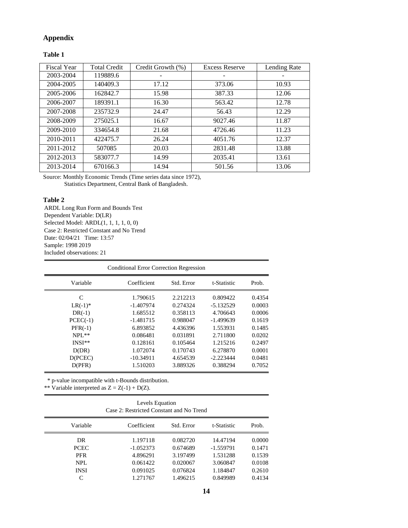# **Appendix**

**Table 1**

| <b>Fiscal Year</b> | <b>Total Credit</b> | Credit Growth (%) | <b>Excess Reserve</b> | Lending Rate |
|--------------------|---------------------|-------------------|-----------------------|--------------|
| 2003-2004          | 119889.6            |                   |                       |              |
| 2004-2005          | 140409.3            | 17.12             | 373.06                | 10.93        |
| 2005-2006          | 162842.7            | 15.98             | 387.33                | 12.06        |
| 2006-2007          | 189391.1            | 16.30             | 563.42                | 12.78        |
| 2007-2008          | 235732.9            | 24.47             | 56.43                 | 12.29        |
| 2008-2009          | 275025.1            | 16.67             | 9027.46               | 11.87        |
| 2009-2010          | 334654.8            | 21.68             | 4726.46               | 11.23        |
| 2010-2011          | 422475.7            | 26.24             | 4051.76               | 12.37        |
| 2011-2012          | 507085              | 20.03             | 2831.48               | 13.88        |
| 2012-2013          | 583077.7            | 14.99             | 2035.41               | 13.61        |
| 2013-2014          | 670166.3            | 14.94             | 501.56                | 13.06        |

Source: Monthly Economic Trends (Time series data since 1972), Statistics Department, Central Bank of Bangladesh.

#### **Table 2**

ARDL Long Run Form and Bounds Test Dependent Variable: D(LR) Selected Model: ARDL(1, 1, 1, 1, 0, 0) Case 2: Restricted Constant and No Trend Date: 02/04/21 Time: 13:57 Sample: 1998 2019 Included observations: 21

|            | <b>Conditional Error Correction Regression</b> |            |             |        |
|------------|------------------------------------------------|------------|-------------|--------|
| Variable   | Coefficient                                    | Std. Error | t-Statistic | Prob.  |
| C          | 1.790615                                       | 2.212213   | 0.809422    | 0.4354 |
| $LR(-1)*$  | $-1.407974$                                    | 0.274324   | $-5.132529$ | 0.0003 |
| $DR(-1)$   | 1.685512                                       | 0.358113   | 4.706643    | 0.0006 |
| $PCEC(-1)$ | $-1.481715$                                    | 0.988047   | $-1.499639$ | 0.1619 |
| $PFR(-1)$  | 6.893852                                       | 4.436396   | 1.553931    | 0.1485 |
| $NPI.**$   | 0.086481                                       | 0.031891   | 2.711800    | 0.0202 |
| $INSI**$   | 0.128161                                       | 0.105464   | 1.215216    | 0.2497 |
| D(DR)      | 1.072074                                       | 0.170743   | 6.278870    | 0.0001 |
| D(PCEC)    | $-10.34911$                                    | 4.654539   | $-2.223444$ | 0.0481 |
| D(PFR)     | 1.510203                                       | 3.889326   | 0.388294    | 0.7052 |

\* p-value incompatible with t-Bounds distribution.

\*\* Variable interpreted as  $Z = Z(-1) + D(Z)$ .

| Levels Equation                          |
|------------------------------------------|
| Case 2: Restricted Constant and No Trend |

| Variable    | Coefficient | Std. Error | t-Statistic | Prob.  |
|-------------|-------------|------------|-------------|--------|
| DR          | 1.197118    | 0.082720   | 14.47194    | 0.0000 |
| <b>PCEC</b> | $-1.052373$ | 0.674689   | $-1.559791$ | 0.1471 |
| <b>PFR</b>  | 4.896291    | 3.197499   | 1.531288    | 0.1539 |
| NPL.        | 0.061422    | 0.020067   | 3.060847    | 0.0108 |
| <b>INSI</b> | 0.091025    | 0.076824   | 1.184847    | 0.2610 |
| C           | 1.271767    | 1.496215   | 0.849989    | 0.4134 |
|             |             |            |             |        |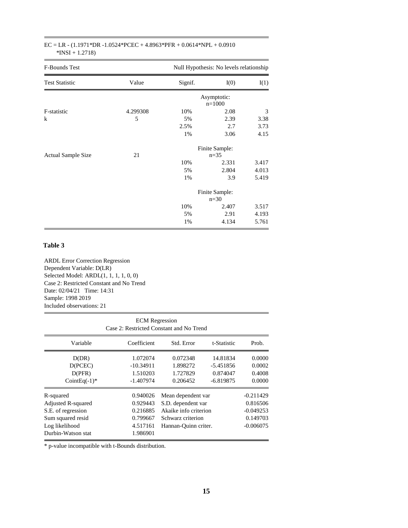| $EC = LR - (1.1971 * DR - 1.0524 * PCEC + 4.8963 * PFR + 0.0614 * NPL + 0.0910$ |  |  |
|---------------------------------------------------------------------------------|--|--|
| $*INSI + 1.2718$                                                                |  |  |

| F-Bounds Test             | Null Hypothesis: No levels relationship |                          |                |       |
|---------------------------|-----------------------------------------|--------------------------|----------------|-------|
| <b>Test Statistic</b>     | Value                                   | Signif.                  | I(0)           | I(1)  |
|                           |                                         | Asymptotic:<br>$n=1000$  |                |       |
| F-statistic               | 4.299308                                | 10%                      | 2.08           | 3     |
| $\bf k$                   | 5                                       | 5%                       | 2.39           | 3.38  |
|                           |                                         | 2.5%                     | 2.7            | 3.73  |
|                           |                                         | 1%                       | 3.06           | 4.15  |
|                           |                                         |                          | Finite Sample: |       |
| <b>Actual Sample Size</b> | 21                                      | $n = 35$                 |                |       |
|                           |                                         | 10%                      | 2.331          | 3.417 |
|                           |                                         | 5%                       | 2.804          | 4.013 |
|                           |                                         | 1%                       | 3.9            | 5.419 |
|                           |                                         | Finite Sample:<br>$n=30$ |                |       |
|                           |                                         | 10%                      | 2.407          | 3.517 |
|                           |                                         | 5%                       | 2.91           | 4.193 |
|                           |                                         | 1%                       | 4.134          | 5.761 |

## **Table 3**

ARDL Error Correction Regression Dependent Variable: D(LR) Selected Model: ARDL(1, 1, 1, 1, 0, 0) Case 2: Restricted Constant and No Trend Date: 02/04/21 Time: 14:31 Sample: 1998 2019 Included observations: 21

| <b>ECM</b> Regression<br>Case 2: Restricted Constant and No Trend                                                  |                                                                      |                                                                                                                |                                                    |                                                                   |
|--------------------------------------------------------------------------------------------------------------------|----------------------------------------------------------------------|----------------------------------------------------------------------------------------------------------------|----------------------------------------------------|-------------------------------------------------------------------|
| Variable                                                                                                           | Coefficient                                                          | Std. Error                                                                                                     | t-Statistic                                        | Prob.                                                             |
| D(DR)<br>D(PCEC)<br>D(PFR)<br>CointEq $(-1)^*$                                                                     | 1.072074<br>$-10.34911$<br>1.510203<br>$-1.407974$                   | 0.072348<br>1.898272<br>1.727829<br>0.206452                                                                   | 14.81834<br>$-5.451856$<br>0.874047<br>$-6.819875$ | 0.0000<br>0.0002<br>0.4008<br>0.0000                              |
| R-squared<br>Adjusted R-squared<br>S.E. of regression<br>Sum squared resid<br>Log likelihood<br>Durbin-Watson stat | 0.940026<br>0.929443<br>0.216885<br>0.799667<br>4.517161<br>1.986901 | Mean dependent var<br>S.D. dependent var<br>Akaike info criterion<br>Schwarz criterion<br>Hannan-Quinn criter. |                                                    | $-0.211429$<br>0.816506<br>$-0.049253$<br>0.149703<br>$-0.006075$ |

\* p-value incompatible with t-Bounds distribution.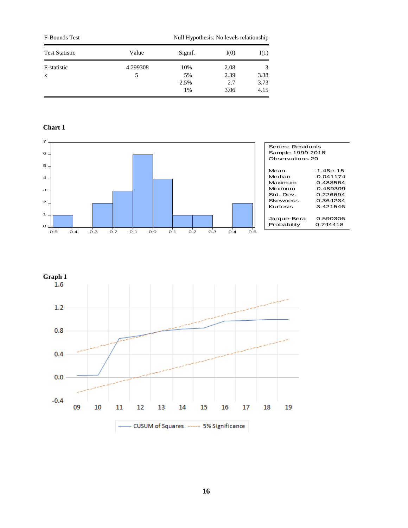| <b>F-Bounds Test</b>  |          | Null Hypothesis: No levels relationship |      |      |
|-----------------------|----------|-----------------------------------------|------|------|
| <b>Test Statistic</b> | Value    | Signif.                                 | I(0) | I(1) |
| F-statistic           | 4.299308 | 10%                                     | 2.08 |      |
| k                     | 5        | 5%                                      | 2.39 | 3.38 |
|                       |          | 2.5%                                    | 2.7  | 3.73 |
|                       |          | 1%                                      | 3.06 | 4.15 |

## **Chart 1**



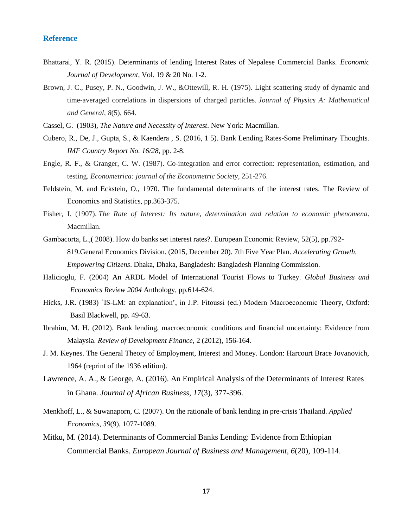## **Reference**

- Bhattarai, Y. R. (2015). Determinants of lending Interest Rates of Nepalese Commercial Banks. *Economic Journal of Development*, Vol. 19 & 20 No. 1-2.
- Brown, J. C., Pusey, P. N., Goodwin, J. W., &Ottewill, R. H. (1975). Light scattering study of dynamic and time-averaged correlations in dispersions of charged particles. *Journal of Physics A: Mathematical and General*, *8*(5), 664.
- Cassel, G. (1903), *The Nature and Necessity of Interest*. New York: Macmillan.
- Cubero, R., De, J., Gupta, S., & Kaendera , S. (2016, 1 5). Bank Lending Rates-Some Preliminary Thoughts. *IMF Country Report No. 16/28*, pp. 2-8.
- Engle, R. F., & Granger, C. W. (1987). Co-integration and error correction: representation, estimation, and testing. *Econometrica: journal of the Econometric Society*, 251-276.
- Feldstein, M. and Eckstein, O., 1970. The fundamental determinants of the interest rates. The Review of Economics and Statistics, pp.363-375.
- Fisher, I. (1907). *The Rate of Interest: Its nature, determination and relation to economic phenomena*. Macmillan.
- Gambacorta, L.,( 2008). How do banks set interest rates?. European Economic Review, 52(5), pp.792- 819.General Economics Division. (2015, December 20). 7th Five Year Plan. *Accelerating Growth, Empowering Citizens*. Dhaka, Dhaka, Bangladesh: Bangladesh Planning Commission.
- Halicioglu, F. (2004) An ARDL Model of International Tourist Flows to Turkey. *Global Business and Economics Review 2004* Anthology, pp.614-624.
- Hicks, J.R. (1983) `IS-LM: an explanation', in J.P. Fitoussi (ed.) Modern Macroeconomic Theory, Oxford: Basil Blackwell, pp. 49-63.
- Ibrahim, M. H. (2012). Bank lending, macroeconomic conditions and financial uncertainty: Evidence from Malaysia. *Review of Development Finance*, 2 (2012), 156-164.
- J. M. Keynes. The General Theory of Employment, Interest and Money. London: Harcourt Brace Jovanovich, 1964 (reprint of the 1936 edition).
- Lawrence, A. A., & George, A. (2016). An Empirical Analysis of the Determinants of Interest Rates in Ghana. *Journal of African Business, 17*(3), 377-396.
- Menkhoff, L., & Suwanaporn, C. (2007). On the rationale of bank lending in pre-crisis Thailand. *Applied Economics, 39*(9), 1077-1089.
- Mitku, M. (2014). Determinants of Commercial Banks Lending: Evidence from Ethiopian Commercial Banks. *European Journal of Business and Management, 6*(20), 109-114.